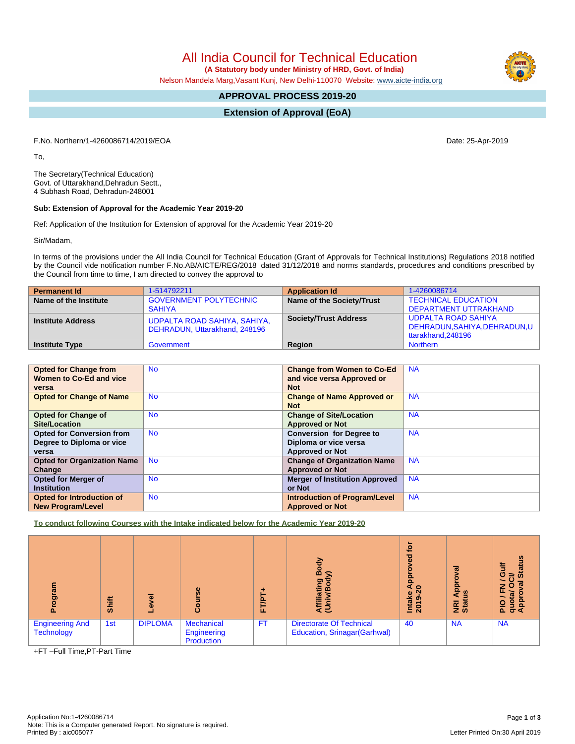All India Council for Technical Education

 **(A Statutory body under Ministry of HRD, Govt. of India)**

Nelson Mandela Marg,Vasant Kunj, New Delhi-110070 Website: [www.aicte-india.org](http://www.aicte-india.org)

## **APPROVAL PROCESS 2019-20**

**Extension of Approval (EoA)**

F.No. Northern/1-4260086714/2019/EOA Date: 25-Apr-2019

To,

The Secretary(Technical Education) Govt. of Uttarakhand,Dehradun Sectt., 4 Subhash Road, Dehradun-248001

## **Sub: Extension of Approval for the Academic Year 2019-20**

Ref: Application of the Institution for Extension of approval for the Academic Year 2019-20

Sir/Madam,

In terms of the provisions under the All India Council for Technical Education (Grant of Approvals for Technical Institutions) Regulations 2018 notified by the Council vide notification number F.No.AB/AICTE/REG/2018 dated 31/12/2018 and norms standards, procedures and conditions prescribed by the Council from time to time, I am directed to convey the approval to

| <b>Permanent Id</b>      | 1-514792211                                                   | <b>Application Id</b>        | 1-4260086714                                                              |
|--------------------------|---------------------------------------------------------------|------------------------------|---------------------------------------------------------------------------|
| Name of the Institute    | <b>GOVERNMENT POLYTECHNIC</b><br><b>SAHIYA</b>                | Name of the Society/Trust    | <b>TECHNICAL EDUCATION</b><br>DEPARTMENT UTTRAKHAND                       |
| <b>Institute Address</b> | UDPALTA ROAD SAHIYA, SAHIYA,<br>DEHRADUN, Uttarakhand, 248196 | <b>Society/Trust Address</b> | UDPALTA ROAD SAHIYA<br>DEHRADUN, SAHIYA, DEHRADUN, U<br>ttarakhand.248196 |
| <b>Institute Type</b>    | Government                                                    | Region                       | <b>Northern</b>                                                           |

| <b>Opted for Change from</b><br>Women to Co-Ed and vice<br>versa       | <b>No</b> | <b>Change from Women to Co-Ed</b><br>and vice versa Approved or<br><b>Not</b>      | <b>NA</b> |
|------------------------------------------------------------------------|-----------|------------------------------------------------------------------------------------|-----------|
| <b>Opted for Change of Name</b>                                        | <b>No</b> | <b>Change of Name Approved or</b><br><b>Not</b>                                    | <b>NA</b> |
| <b>Opted for Change of</b><br>Site/Location                            | <b>No</b> | <b>Change of Site/Location</b><br><b>Approved or Not</b>                           | <b>NA</b> |
| <b>Opted for Conversion from</b><br>Degree to Diploma or vice<br>versa | <b>No</b> | <b>Conversion for Degree to</b><br>Diploma or vice versa<br><b>Approved or Not</b> | <b>NA</b> |
| <b>Opted for Organization Name</b><br>Change                           | <b>No</b> | <b>Change of Organization Name</b><br><b>Approved or Not</b>                       | <b>NA</b> |
| <b>Opted for Merger of</b><br><b>Institution</b>                       | <b>No</b> | <b>Merger of Institution Approved</b><br>or Not                                    | <b>NA</b> |
| Opted for Introduction of<br><b>New Program/Level</b>                  | <b>No</b> | <b>Introduction of Program/Level</b><br><b>Approved or Not</b>                     | <b>NA</b> |

**To conduct following Courses with the Intake indicated below for the Academic Year 2019-20**

| mengo                                       | <b>Shift</b> | g<br>٥         | rse<br>යි                                      | ۰<br><b>FT/PT</b> | 증<br>$\mathbf{g}$<br>liating<br>മ<br>Ę<br>e.                    | tor<br>ਠ<br>Φ<br>āq<br>s.<br>$\circ$<br>$\overline{\mathbf{C}}$<br>Intake<br>2019-2 | ᢛ<br>o<br>윤<br>$\tilde{\mathbf{a}}$<br><b>E</b> at | tatus<br>ŧ<br>O<br>ชั<br>≃<br>O<br>z<br>൹<br>ш.<br>흄<br>quo<br>App<br><b>PIO</b> |
|---------------------------------------------|--------------|----------------|------------------------------------------------|-------------------|-----------------------------------------------------------------|-------------------------------------------------------------------------------------|----------------------------------------------------|----------------------------------------------------------------------------------|
| <b>Engineering And</b><br><b>Technology</b> | 1st          | <b>DIPLOMA</b> | <b>Mechanical</b><br>Engineering<br>Production | <b>FT</b>         | <b>Directorate Of Technical</b><br>Education, Srinagar(Garhwal) | 40                                                                                  | <b>NA</b>                                          | <b>NA</b>                                                                        |

+FT –Full Time,PT-Part Time

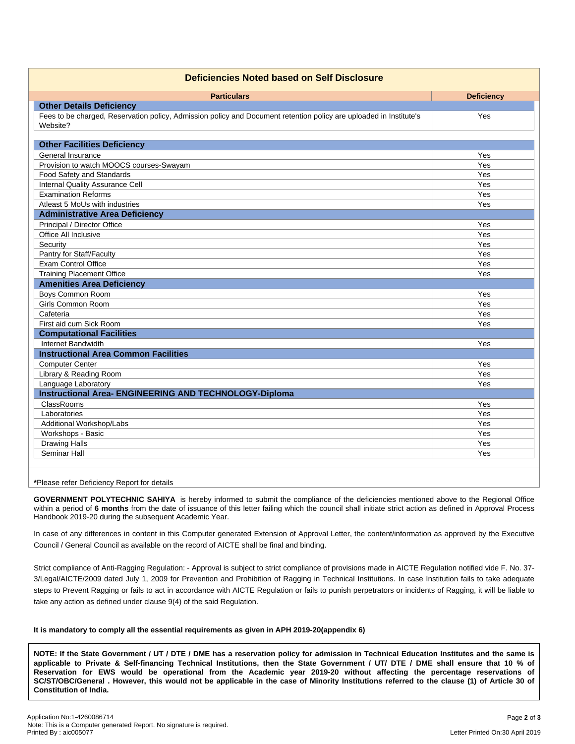| <b>Deficiencies Noted based on Self Disclosure</b>                                                                 |                   |  |  |  |
|--------------------------------------------------------------------------------------------------------------------|-------------------|--|--|--|
| <b>Particulars</b>                                                                                                 | <b>Deficiency</b> |  |  |  |
| <b>Other Details Deficiency</b>                                                                                    |                   |  |  |  |
| Fees to be charged, Reservation policy, Admission policy and Document retention policy are uploaded in Institute's | Yes               |  |  |  |
| Website?                                                                                                           |                   |  |  |  |
|                                                                                                                    |                   |  |  |  |
| <b>Other Facilities Deficiency</b>                                                                                 |                   |  |  |  |
| General Insurance                                                                                                  | Yes               |  |  |  |
| Provision to watch MOOCS courses-Swayam                                                                            | Yes               |  |  |  |
| Food Safety and Standards                                                                                          | Yes               |  |  |  |
| Internal Quality Assurance Cell                                                                                    | Yes               |  |  |  |
| <b>Examination Reforms</b>                                                                                         | Yes               |  |  |  |
| Atleast 5 MoUs with industries                                                                                     | Yes               |  |  |  |
| <b>Administrative Area Deficiency</b>                                                                              |                   |  |  |  |
| Principal / Director Office                                                                                        | Yes               |  |  |  |
| Office All Inclusive                                                                                               | Yes               |  |  |  |
| Security                                                                                                           | Yes               |  |  |  |
| Pantry for Staff/Faculty                                                                                           | Yes               |  |  |  |
| <b>Exam Control Office</b>                                                                                         | Yes               |  |  |  |
| <b>Training Placement Office</b>                                                                                   | Yes               |  |  |  |
| <b>Amenities Area Deficiency</b>                                                                                   |                   |  |  |  |
| Boys Common Room                                                                                                   | Yes               |  |  |  |
| Girls Common Room                                                                                                  | Yes               |  |  |  |
| Cafeteria                                                                                                          | Yes               |  |  |  |
| First aid cum Sick Room                                                                                            | Yes               |  |  |  |
| <b>Computational Facilities</b>                                                                                    |                   |  |  |  |
| Internet Bandwidth                                                                                                 | Yes               |  |  |  |
| <b>Instructional Area Common Facilities</b>                                                                        |                   |  |  |  |
| <b>Computer Center</b>                                                                                             | Yes               |  |  |  |
| Library & Reading Room                                                                                             | Yes               |  |  |  |
| Language Laboratory                                                                                                | Yes               |  |  |  |
| Instructional Area- ENGINEERING AND TECHNOLOGY-Diploma                                                             |                   |  |  |  |
| <b>ClassRooms</b>                                                                                                  | Yes               |  |  |  |
| Laboratories                                                                                                       | Yes               |  |  |  |
| Additional Workshop/Labs                                                                                           | Yes               |  |  |  |
| Workshops - Basic                                                                                                  | Yes               |  |  |  |
| <b>Drawing Halls</b>                                                                                               | Yes               |  |  |  |
| Seminar Hall                                                                                                       | Yes               |  |  |  |
|                                                                                                                    |                   |  |  |  |

**\***Please refer Deficiency Report for details

**GOVERNMENT POLYTECHNIC SAHIYA** is hereby informed to submit the compliance of the deficiencies mentioned above to the Regional Office within a period of **6 months** from the date of issuance of this letter failing which the council shall initiate strict action as defined in Approval Process Handbook 2019-20 during the subsequent Academic Year.

In case of any differences in content in this Computer generated Extension of Approval Letter, the content/information as approved by the Executive Council / General Council as available on the record of AICTE shall be final and binding.

Strict compliance of Anti-Ragging Regulation: - Approval is subject to strict compliance of provisions made in AICTE Regulation notified vide F. No. 37- 3/Legal/AICTE/2009 dated July 1, 2009 for Prevention and Prohibition of Ragging in Technical Institutions. In case Institution fails to take adequate steps to Prevent Ragging or fails to act in accordance with AICTE Regulation or fails to punish perpetrators or incidents of Ragging, it will be liable to take any action as defined under clause 9(4) of the said Regulation.

## **It is mandatory to comply all the essential requirements as given in APH 2019-20(appendix 6)**

NOTE: If the State Government / UT / DTE / DME has a reservation policy for admission in Technical Education Institutes and the same is applicable to Private & Self-financing Technical Institutions, then the State Government / UT/ DTE / DME shall ensure that 10 % of Reservation for EWS would be operational from the Academic year 2019-20 without affecting the percentage reservations of SC/ST/OBC/General . However, this would not be applicable in the case of Minority Institutions referred to the clause (1) of Article 30 of **Constitution of India.**